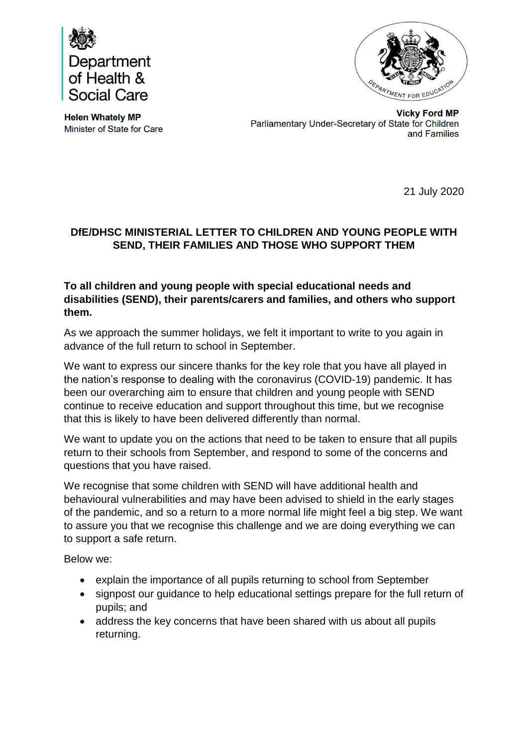



**Helen Whately MP** Minister of State for Care

**Vicky Ford MP** Parliamentary Under-Secretary of State for Children and Families

21 July 2020

## **DfE/DHSC MINISTERIAL LETTER TO CHILDREN AND YOUNG PEOPLE WITH SEND, THEIR FAMILIES AND THOSE WHO SUPPORT THEM**

#### **To all children and young people with special educational needs and disabilities (SEND), their parents/carers and families, and others who support them.**

As we approach the summer holidays, we felt it important to write to you again in advance of the full return to school in September.

We want to express our sincere thanks for the key role that you have all played in the nation's response to dealing with the coronavirus (COVID-19) pandemic. It has been our overarching aim to ensure that children and young people with SEND continue to receive education and support throughout this time, but we recognise that this is likely to have been delivered differently than normal.

We want to update you on the actions that need to be taken to ensure that all pupils return to their schools from September, and respond to some of the concerns and questions that you have raised.

We recognise that some children with SEND will have additional health and behavioural vulnerabilities and may have been advised to shield in the early stages of the pandemic, and so a return to a more normal life might feel a big step. We want to assure you that we recognise this challenge and we are doing everything we can to support a safe return.

Below we:

- explain the importance of all pupils returning to school from September
- signpost our guidance to help educational settings prepare for the full return of pupils; and
- address the key concerns that have been shared with us about all pupils returning.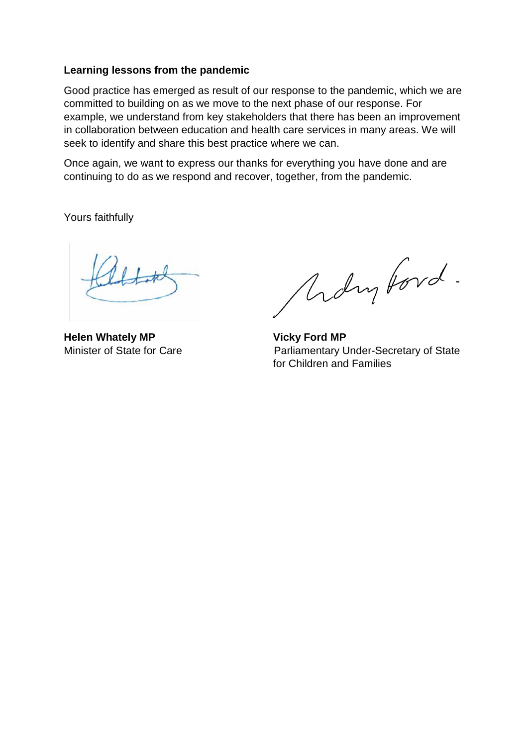#### **Learning lessons from the pandemic**

Good practice has emerged as result of our response to the pandemic, which we are committed to building on as we move to the next phase of our response. For example, we understand from key stakeholders that there has been an improvement in collaboration between education and health care services in many areas. We will seek to identify and share this best practice where we can.

Once again, we want to express our thanks for everything you have done and are continuing to do as we respond and recover, together, from the pandemic.

Yours faithfully

**Helen Whately MP** Vicky Ford MP

Ardrytord.

Minister of State for Care<br>
Parliamentary Under-Secretary of State for Children and Families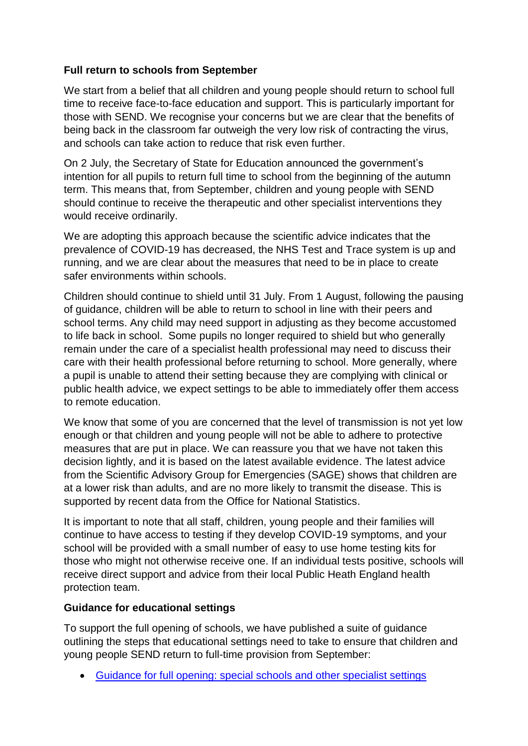## **Full return to schools from September**

We start from a belief that all children and young people should return to school full time to receive face-to-face education and support. This is particularly important for those with SEND. We recognise your concerns but we are clear that the benefits of being back in the classroom far outweigh the very low risk of contracting the virus, and schools can take action to reduce that risk even further.

On 2 July, the Secretary of State for Education announced the government's intention for all pupils to return full time to school from the beginning of the autumn term. This means that, from September, children and young people with SEND should continue to receive the therapeutic and other specialist interventions they would receive ordinarily.

We are adopting this approach because the scientific advice indicates that the prevalence of COVID-19 has decreased, the NHS Test and Trace system is up and running, and we are clear about the measures that need to be in place to create safer environments within schools.

Children should continue to shield until 31 July. From 1 August, following the pausing of guidance, children will be able to return to school in line with their peers and school terms. Any child may need support in adjusting as they become accustomed to life back in school. Some pupils no longer required to shield but who generally remain under the care of a specialist health professional may need to discuss their care with their health professional before returning to school. More generally, where a pupil is unable to attend their setting because they are complying with clinical or public health advice, we expect settings to be able to immediately offer them access to remote education.

We know that some of you are concerned that the level of transmission is not yet low enough or that children and young people will not be able to adhere to protective measures that are put in place. We can reassure you that we have not taken this decision lightly, and it is based on the latest available evidence. The latest advice from the Scientific Advisory Group for Emergencies (SAGE) shows that children are at a lower risk than adults, and are no more likely to transmit the disease. This is supported by recent data from the Office for National Statistics.

It is important to note that all staff, children, young people and their families will continue to have access to testing if they develop COVID-19 symptoms, and your school will be provided with a small number of easy to use home testing kits for those who might not otherwise receive one. If an individual tests positive, schools will receive direct support and advice from their local Public Heath England health protection team.

### **Guidance for educational settings**

To support the full opening of schools, we have published a suite of guidance outlining the steps that educational settings need to take to ensure that children and young people SEND return to full-time provision from September:

[Guidance for full opening: special schools and other specialist settings](https://www.gov.uk/government/publications/guidance-for-full-opening-special-schools-and-other-specialist-settings/guidance-for-full-opening-special-schools-and-other-specialist-settings)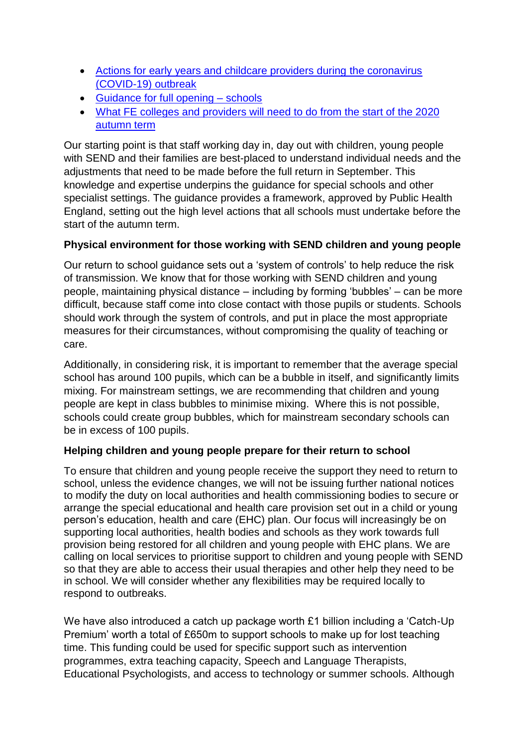- [Actions for early years and childcare providers during the coronavirus](https://www.gov.uk/government/publications/coronavirus-covid-19-early-years-and-childcare-closures/coronavirus-covid-19-early-years-and-childcare-closures)  [\(COVID-19\) outbreak](https://www.gov.uk/government/publications/coronavirus-covid-19-early-years-and-childcare-closures/coronavirus-covid-19-early-years-and-childcare-closures)
- [Guidance for full opening –](https://www.gov.uk/government/publications/actions-for-schools-during-the-coronavirus-outbreak/guidance-for-full-opening-schools) schools
- [What FE colleges and providers will need to do from the start of the 2020](https://www.gov.uk/government/publications/coronavirus-covid-19-maintaining-further-education-provision/maintaining-education-and-skills-training-provision-further-education-providers)  [autumn term](https://www.gov.uk/government/publications/coronavirus-covid-19-maintaining-further-education-provision/maintaining-education-and-skills-training-provision-further-education-providers)

Our starting point is that staff working day in, day out with children, young people with SEND and their families are best-placed to understand individual needs and the adjustments that need to be made before the full return in September. This knowledge and expertise underpins the guidance for special schools and other specialist settings. The guidance provides a framework, approved by Public Health England, setting out the high level actions that all schools must undertake before the start of the autumn term.

# **Physical environment for those working with SEND children and young people**

Our return to school guidance sets out a 'system of controls' to help reduce the risk of transmission. We know that for those working with SEND children and young people, maintaining physical distance – including by forming 'bubbles' – can be more difficult, because staff come into close contact with those pupils or students. Schools should work through the system of controls, and put in place the most appropriate measures for their circumstances, without compromising the quality of teaching or care.

Additionally, in considering risk, it is important to remember that the average special school has around 100 pupils, which can be a bubble in itself, and significantly limits mixing. For mainstream settings, we are recommending that children and young people are kept in class bubbles to minimise mixing. Where this is not possible, schools could create group bubbles, which for mainstream secondary schools can be in excess of 100 pupils.

### **Helping children and young people prepare for their return to school**

To ensure that children and young people receive the support they need to return to school, unless the evidence changes, we will not be issuing further national notices to modify the duty on local authorities and health commissioning bodies to secure or arrange the special educational and health care provision set out in a child or young person's education, health and care (EHC) plan. Our focus will increasingly be on supporting local authorities, health bodies and schools as they work towards full provision being restored for all children and young people with EHC plans. We are calling on local services to prioritise support to children and young people with SEND so that they are able to access their usual therapies and other help they need to be in school. We will consider whether any flexibilities may be required locally to respond to outbreaks.

We have also introduced a catch up package worth £1 billion including a 'Catch-Up Premium' worth a total of £650m to support schools to make up for lost teaching time. This funding could be used for specific support such as intervention programmes, extra teaching capacity, Speech and Language Therapists, Educational Psychologists, and access to technology or summer schools. Although